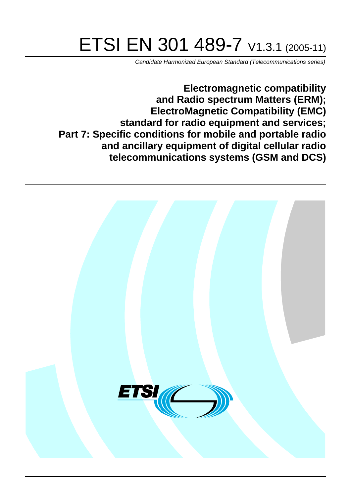# ETSI EN 301 489-7 V1.3.1 (2005-11)

Candidate Harmonized European Standard (Telecommunications series)

**Electromagnetic compatibility and Radio spectrum Matters (ERM); ElectroMagnetic Compatibility (EMC) standard for radio equipment and services; Part 7: Specific conditions for mobile and portable radio and ancillary equipment of digital cellular radio telecommunications systems (GSM and DCS)**

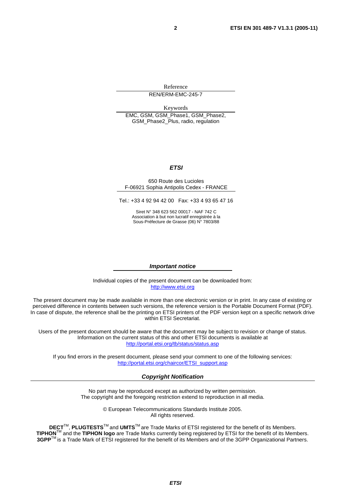Reference

REN/ERM-EMC-245-7

Keywords

EMC, GSM, GSM\_Phase1, GSM\_Phase2, GSM\_Phase2\_Plus, radio, regulation

#### **ETSI**

#### 650 Route des Lucioles F-06921 Sophia Antipolis Cedex - FRANCE

Tel.: +33 4 92 94 42 00 Fax: +33 4 93 65 47 16

Siret N° 348 623 562 00017 - NAF 742 C Association à but non lucratif enregistrée à la Sous-Préfecture de Grasse (06) N° 7803/88

#### **Important notice**

Individual copies of the present document can be downloaded from: [http://www.etsi.org](http://www.etsi.org/)

The present document may be made available in more than one electronic version or in print. In any case of existing or perceived difference in contents between such versions, the reference version is the Portable Document Format (PDF). In case of dispute, the reference shall be the printing on ETSI printers of the PDF version kept on a specific network drive within ETSI Secretariat.

Users of the present document should be aware that the document may be subject to revision or change of status. Information on the current status of this and other ETSI documents is available at <http://portal.etsi.org/tb/status/status.asp>

If you find errors in the present document, please send your comment to one of the following services: [http://portal.etsi.org/chaircor/ETSI\\_support.asp](http://portal.etsi.org/chaircor/ETSI_support.asp)

#### **Copyright Notification**

No part may be reproduced except as authorized by written permission. The copyright and the foregoing restriction extend to reproduction in all media.

> © European Telecommunications Standards Institute 2005. All rights reserved.

**DECT**TM, **PLUGTESTS**TM and **UMTS**TM are Trade Marks of ETSI registered for the benefit of its Members. **TIPHON**TM and the **TIPHON logo** are Trade Marks currently being registered by ETSI for the benefit of its Members. **3GPP**TM is a Trade Mark of ETSI registered for the benefit of its Members and of the 3GPP Organizational Partners.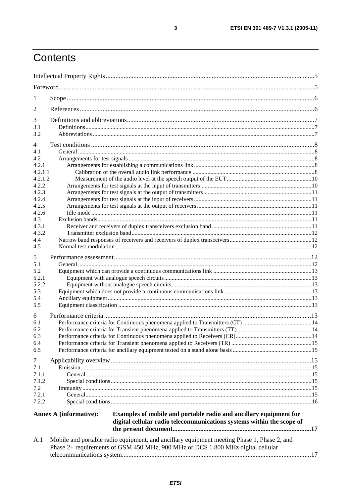# Contents

| 1                                                                                                                           |                                                                                                                                                                               |  |
|-----------------------------------------------------------------------------------------------------------------------------|-------------------------------------------------------------------------------------------------------------------------------------------------------------------------------|--|
| 2                                                                                                                           |                                                                                                                                                                               |  |
| 3<br>3.1<br>3.2                                                                                                             |                                                                                                                                                                               |  |
| 4<br>4.1<br>4.2<br>4.2.1<br>4.2.1.1<br>4.2.1.2<br>4.2.2<br>4.2.3<br>4.2.4<br>4.2.5<br>4.2.6<br>4.3<br>4.3.1<br>4.3.2<br>4.4 |                                                                                                                                                                               |  |
| 4.5<br>5<br>5.1<br>5.2<br>5.2.1<br>5.2.2<br>5.3<br>5.4<br>5.5                                                               |                                                                                                                                                                               |  |
| 6<br>6.1<br>6.2<br>6.3<br>6.4<br>6.5                                                                                        |                                                                                                                                                                               |  |
| 7<br>7.1<br>7.1.1<br>7.1.2<br>7.2<br>7.2.1<br>7.2.2                                                                         |                                                                                                                                                                               |  |
|                                                                                                                             | Examples of mobile and portable radio and ancillary equipment for<br><b>Annex A (informative):</b><br>digital cellular radio telecommunications systems within the scope of   |  |
| A.1                                                                                                                         | Mobile and portable radio equipment, and ancillary equipment meeting Phase 1, Phase 2, and<br>Phase 2+ requirements of GSM 450 MHz, 900 MHz or DCS 1 800 MHz digital cellular |  |

 $\mathbf{3}$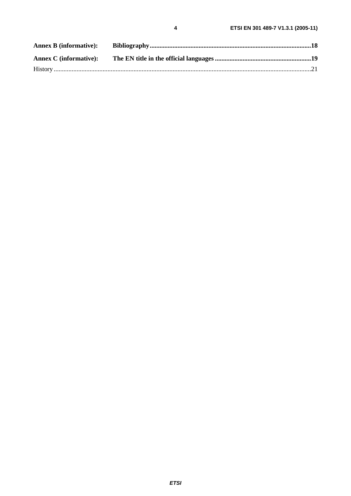| <b>Annex C</b> (informative): |  |
|-------------------------------|--|
|                               |  |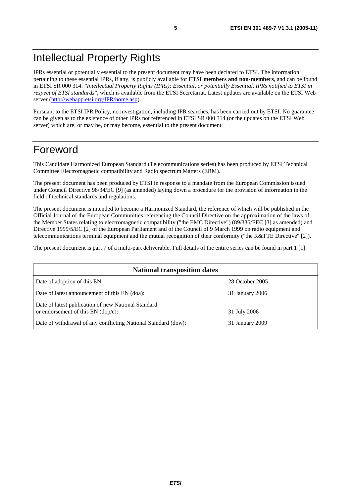IPRs essential or potentially essential to the present document may have been declared to ETSI. The information pertaining to these essential IPRs, if any, is publicly available for **ETSI members and non-members**, and can be found in ETSI SR 000 314: *"Intellectual Property Rights (IPRs); Essential, or potentially Essential, IPRs notified to ETSI in respect of ETSI standards"*, which is available from the ETSI Secretariat. Latest updates are available on the ETSI Web server [\(http://webapp.etsi.org/IPR/home.asp](http://webapp.etsi.org/IPR/home.asp)).

Pursuant to the ETSI IPR Policy, no investigation, including IPR searches, has been carried out by ETSI. No guarantee can be given as to the existence of other IPRs not referenced in ETSI SR 000 314 (or the updates on the ETSI Web server) which are, or may be, or may become, essential to the present document.

## Foreword

This Candidate Harmonized European Standard (Telecommunications series) has been produced by ETSI Technical Committee Electromagnetic compatibility and Radio spectrum Matters (ERM).

The present document has been produced by ETSI in response to a mandate from the European Commission issued under Council Directive 98/34/EC [9] (as amended) laying down a procedure for the provision of information in the field of technical standards and regulations.

The present document is intended to become a Harmonized Standard, the reference of which will be published in the Official Journal of the European Communities referencing the Council Directive on the approximation of the laws of the Member States relating to electromagnetic compatibility ("the EMC Directive") (89/336/EEC [3] as amended) and Directive 1999/5/EC [2] of the European Parliament and of the Council of 9 March 1999 on radio equipment and telecommunications terminal equipment and the mutual recognition of their conformity ("the R&TTE Directive" [2]).

The present document is part 7 of a multi-part deliverable. Full details of the entire series can be found in part 1 [1].

| <b>National transposition dates</b>                                                       |                 |  |
|-------------------------------------------------------------------------------------------|-----------------|--|
| Date of adoption of this EN:                                                              | 28 October 2005 |  |
| Date of latest announcement of this EN (doa):                                             | 31 January 2006 |  |
| Date of latest publication of new National Standard<br>or endorsement of this EN (dop/e): | 31 July 2006    |  |
| Date of withdrawal of any conflicting National Standard (dow):                            | 31 January 2009 |  |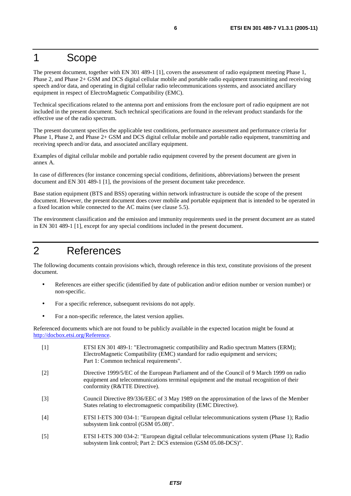### 1 Scope

The present document, together with EN 301 489-1 [1], covers the assessment of radio equipment meeting Phase 1, Phase 2, and Phase 2+ GSM and DCS digital cellular mobile and portable radio equipment transmitting and receiving speech and/or data, and operating in digital cellular radio telecommunications systems, and associated ancillary equipment in respect of ElectroMagnetic Compatibility (EMC).

Technical specifications related to the antenna port and emissions from the enclosure port of radio equipment are not included in the present document. Such technical specifications are found in the relevant product standards for the effective use of the radio spectrum.

The present document specifies the applicable test conditions, performance assessment and performance criteria for Phase 1, Phase 2, and Phase 2+ GSM and DCS digital cellular mobile and portable radio equipment, transmitting and receiving speech and/or data, and associated ancillary equipment.

Examples of digital cellular mobile and portable radio equipment covered by the present document are given in annex A.

In case of differences (for instance concerning special conditions, definitions, abbreviations) between the present document and EN 301 489-1 [1], the provisions of the present document take precedence.

Base station equipment (BTS and BSS) operating within network infrastructure is outside the scope of the present document. However, the present document does cover mobile and portable equipment that is intended to be operated in a fixed location while connected to the AC mains (see clause 5.5).

The environment classification and the emission and immunity requirements used in the present document are as stated in EN 301 489-1 [1], except for any special conditions included in the present document.

# 2 References

The following documents contain provisions which, through reference in this text, constitute provisions of the present document.

- References are either specific (identified by date of publication and/or edition number or version number) or non-specific.
- For a specific reference, subsequent revisions do not apply.
- For a non-specific reference, the latest version applies.

Referenced documents which are not found to be publicly available in the expected location might be found at <http://docbox.etsi.org/Reference>.

| $\lceil 1 \rceil$ | ETSI EN 301 489-1: "Electromagnetic compatibility and Radio spectrum Matters (ERM);<br>ElectroMagnetic Compatibility (EMC) standard for radio equipment and services;<br>Part 1: Common technical requirements".       |
|-------------------|------------------------------------------------------------------------------------------------------------------------------------------------------------------------------------------------------------------------|
| $\lceil 2 \rceil$ | Directive 1999/5/EC of the European Parliament and of the Council of 9 March 1999 on radio<br>equipment and telecommunications terminal equipment and the mutual recognition of their<br>conformity (R&TTE Directive). |
| $\lceil 3 \rceil$ | Council Directive 89/336/EEC of 3 May 1989 on the approximation of the laws of the Member<br>States relating to electromagnetic compatibility (EMC Directive).                                                         |
| [4]               | ETSI I-ETS 300 034-1: "European digital cellular telecommunications system (Phase 1); Radio<br>subsystem link control (GSM 05.08)".                                                                                    |
| $\lceil 5 \rceil$ | ETSI I-ETS 300 034-2: "European digital cellular telecommunications system (Phase 1); Radio<br>subsystem link control; Part 2: DCS extension (GSM 05.08-DCS)".                                                         |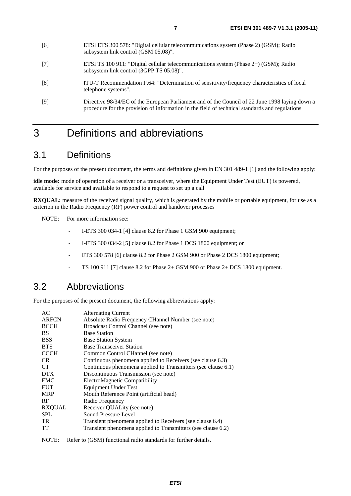- [7] ETSI TS 100 911: "Digital cellular telecommunications system (Phase 2+) (GSM); Radio subsystem link control (3GPP TS 05.08)".
- [8] ITU-T Recommendation P.64: "Determination of sensitivity/frequency characteristics of local telephone systems".
- [9] Directive 98/34/EC of the European Parliament and of the Council of 22 June 1998 laying down a procedure for the provision of information in the field of technical standards and regulations.

### 3 Definitions and abbreviations

### 3.1 Definitions

For the purposes of the present document, the terms and definitions given in EN 301 489-1 [1] and the following apply:

**idle mode:** mode of operation of a receiver or a transceiver, where the Equipment Under Test (EUT) is powered, available for service and available to respond to a request to set up a call

**RXOUAL:** measure of the received signal quality, which is generated by the mobile or portable equipment, for use as a criterion in the Radio Frequency (RF) power control and handover processes

NOTE: For more information see:

- I-ETS 300 034-1 [4] clause 8.2 for Phase 1 GSM 900 equipment;
- I-ETS 300 034-2 [5] clause 8.2 for Phase 1 DCS 1800 equipment; or
- ETS 300 578 [6] clause 8.2 for Phase 2 GSM 900 or Phase 2 DCS 1800 equipment;
- TS 100 911 [7] clause 8.2 for Phase 2+ GSM 900 or Phase 2+ DCS 1800 equipment.

### 3.2 Abbreviations

For the purposes of the present document, the following abbreviations apply:

| AC            | <b>Alternating Current</b>                                    |
|---------------|---------------------------------------------------------------|
| <b>ARFCN</b>  | Absolute Radio Frequency CHannel Number (see note)            |
| <b>BCCH</b>   | Broadcast Control Channel (see note)                          |
| BS.           | <b>Base Station</b>                                           |
| <b>BSS</b>    | <b>Base Station System</b>                                    |
| <b>BTS</b>    | <b>Base Transceiver Station</b>                               |
| <b>CCCH</b>   | Common Control CHannel (see note)                             |
| CR.           | Continuous phenomena applied to Receivers (see clause 6.3)    |
| <b>CT</b>     | Continuous phenomena applied to Transmitters (see clause 6.1) |
| <b>DTX</b>    | Discontinuous Transmission (see note)                         |
| <b>EMC</b>    | ElectroMagnetic Compatibility                                 |
| <b>EUT</b>    | <b>Equipment Under Test</b>                                   |
| <b>MRP</b>    | Mouth Reference Point (artificial head)                       |
| <b>RF</b>     | Radio Frequency                                               |
| <b>RXQUAL</b> | Receiver QUALity (see note)                                   |
| <b>SPL</b>    | Sound Pressure Level                                          |
| TR.           | Transient phenomena applied to Receivers (see clause 6.4)     |
| <b>TT</b>     | Transient phenomena applied to Transmitters (see clause 6.2)  |
|               |                                                               |

NOTE: Refer to (GSM) functional radio standards for further details.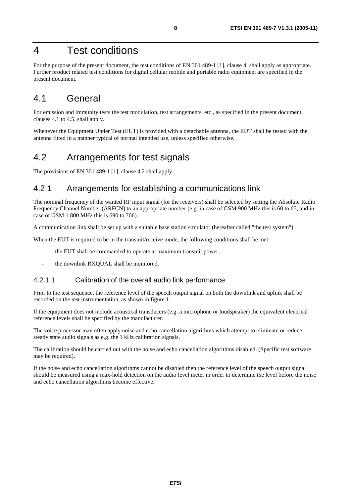### 4 Test conditions

For the purpose of the present document, the test conditions of EN 301 489-1 [1], clause 4, shall apply as appropriate. Further product related test conditions for digital cellular mobile and portable radio equipment are specified in the present document.

### 4.1 General

For emission and immunity tests the test modulation, test arrangements, etc., as specified in the present document, clauses 4.1 to 4.5, shall apply.

Whenever the Equipment Under Test (EUT) is provided with a detachable antenna, the EUT shall be tested with the antenna fitted in a manner typical of normal intended use, unless specified otherwise.

### 4.2 Arrangements for test signals

The provisions of EN 301 489-1 [1], clause 4.2 shall apply.

#### 4.2.1 Arrangements for establishing a communications link

The nominal frequency of the wanted RF input signal (for the receivers) shall be selected by setting the Absolute Radio Frequency Channel Number (ARFCN) to an appropriate number (e.g. in case of GSM 900 MHz this is 60 to 65, and in case of GSM 1 800 MHz this is 690 to 706).

A communication link shall be set up with a suitable base station simulator (hereafter called "the test system").

When the EUT is required to be in the transmit/receive mode, the following conditions shall be met:

- the EUT shall be commanded to operate at maximum transmit power;
- the downlink RXQUAL shall be monitored.

#### 4.2.1.1 Calibration of the overall audio link performance

Prior to the test sequence, the reference level of the speech output signal on both the downlink and uplink shall be recorded on the test instrumentation, as shown in figure 1.

If the equipment does not include acoustical transducers (e.g. a microphone or loudspeaker) the equivalent electrical reference levels shall be specified by the manufacturer.

The voice processor may often apply noise and echo cancellation algorithms which attempt to eliminate or reduce steady state audio signals as e.g. the 1 kHz calibration signals.

The calibration should be carried out with the noise and echo cancellation algorithms disabled. (Specific test software may be required).

If the noise and echo cancellation algorithms cannot be disabled then the reference level of the speech output signal should be measured using a max-hold detection on the audio level meter in order to determine the level before the noise and echo cancellation algorithms become effective.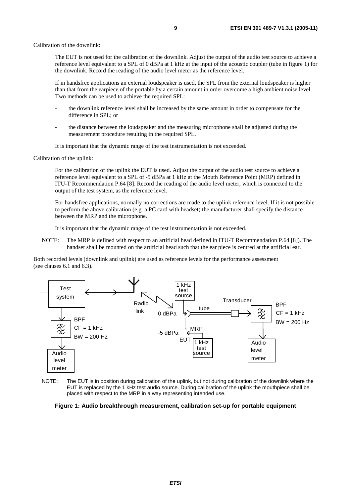The EUT is not used for the calibration of the downlink. Adjust the output of the audio test source to achieve a reference level equivalent to a SPL of 0 dBPa at 1 kHz at the input of the acoustic coupler (tube in figure 1) for the downlink. Record the reading of the audio level meter as the reference level.

 If in handsfree applications an external loudspeaker is used, the SPL from the external loudspeaker is higher than that from the earpiece of the portable by a certain amount in order overcome a high ambient noise level. Two methods can be used to achieve the required SPL:

- the downlink reference level shall be increased by the same amount in order to compensate for the difference in SPL; or
- the distance between the loudspeaker and the measuring microphone shall be adjusted during the measurement procedure resulting in the required SPL.

It is important that the dynamic range of the test instrumentation is not exceeded.

Calibration of the uplink:

 For the calibration of the uplink the EUT is used. Adjust the output of the audio test source to achieve a reference level equivalent to a SPL of -5 dBPa at 1 kHz at the Mouth Reference Point (MRP) defined in ITU-T Recommendation P.64 [8]. Record the reading of the audio level meter, which is connected to the output of the test system, as the reference level.

 For handsfree applications, normally no corrections are made to the uplink reference level. If it is not possible to perform the above calibration (e.g. a PC card with headset) the manufacturer shall specify the distance between the MRP and the microphone.

It is important that the dynamic range of the test instrumentation is not exceeded.

NOTE: The MRP is defined with respect to an artificial head defined in ITU-T Recommendation P.64 [8]). The handset shall be mounted on the artificial head such that the ear piece is centred at the artificial ear.

Both recorded levels (downlink and uplink) are used as reference levels for the performance assessment (see clauses 6.1 and 6.3).



NOTE: The EUT is in position during calibration of the uplink, but not during calibration of the downlink where the EUT is replaced by the 1 kHz test audio source. During calibration of the uplink the mouthpiece shall be placed with respect to the MRP in a way representing intended use.

**Figure 1: Audio breakthrough measurement, calibration set-up for portable equipment**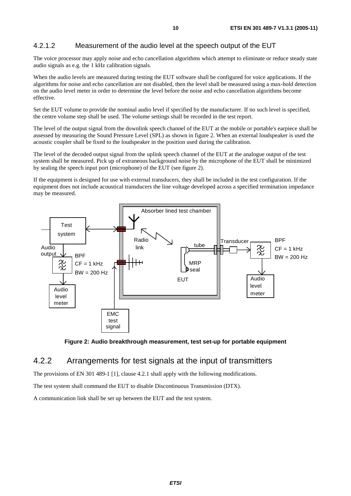#### 4.2.1.2 Measurement of the audio level at the speech output of the EUT

The voice processor may apply noise and echo cancellation algorithms which attempt to eliminate or reduce steady state audio signals as e.g. the 1 kHz calibration signals.

When the audio levels are measured during testing the EUT software shall be configured for voice applications. If the algorithms for noise and echo cancellation are not disabled, then the level shall be measured using a max-hold detection on the audio level meter in order to determine the level before the noise and echo cancellation algorithms become effective.

Set the EUT volume to provide the nominal audio level if specified by the manufacturer. If no such level is specified, the centre volume step shall be used. The volume settings shall be recorded in the test report.

The level of the output signal from the downlink speech channel of the EUT at the mobile or portable's earpiece shall be assessed by measuring the Sound Pressure Level (SPL) as shown in figure 2. When an external loudspeaker is used the acoustic coupler shall be fixed to the loudspeaker in the position used during the calibration.

The level of the decoded output signal from the uplink speech channel of the EUT at the analogue output of the test system shall be measured. Pick up of extraneous background noise by the microphone of the EUT shall be minimized by sealing the speech input port (microphone) of the EUT (see figure 2).

If the equipment is designed for use with external transducers, they shall be included in the test configuration. If the equipment does not include acoustical transducers the line voltage developed across a specified termination impedance may be measured.





#### 4.2.2 Arrangements for test signals at the input of transmitters

The provisions of EN 301 489-1 [1], clause 4.2.1 shall apply with the following modifications.

The test system shall command the EUT to disable Discontinuous Transmission (DTX).

A communication link shall be set up between the EUT and the test system.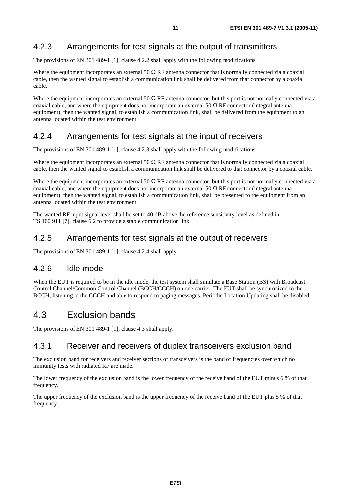#### 4.2.3 Arrangements for test signals at the output of transmitters

The provisions of EN 301 489-1 [1], clause 4.2.2 shall apply with the following modifications.

Where the equipment incorporates an external 50  $\Omega$  RF antenna connector that is normally connected via a coaxial cable, then the wanted signal to establish a communication link shall be delivered from that connector by a coaxial cable.

Where the equipment incorporates an external 50  $\Omega$  RF antenna connector, but this port is not normally connected via a coaxial cable, and where the equipment does not incorporate an external 50  $\Omega$  RF connector (integral antenna equipment), then the wanted signal, to establish a communication link, shall be delivered from the equipment to an antenna located within the test environment.

#### 4.2.4 Arrangements for test signals at the input of receivers

The provisions of EN 301 489-1 [1], clause 4.2.3 shall apply with the following modifications.

Where the equipment incorporates an external 50  $\Omega$  RF antenna connector that is normally connected via a coaxial cable, then the wanted signal to establish a communication link shall be delivered to that connector by a coaxial cable.

Where the equipment incorporates an external 50  $\Omega$  RF antenna connector, but this port is not normally connected via a coaxial cable, and where the equipment does not incorporate an external 50  $\Omega$  RF connector (integral antenna equipment), then the wanted signal, to establish a communication link, shall be presented to the equipment from an antenna located within the test environment.

The wanted RF input signal level shall be set to 40 dB above the reference sensitivity level as defined in TS 100 911 [7], clause 6.2 to provide a stable communication link.

#### 4.2.5 Arrangements for test signals at the output of receivers

The provisions of EN 301 489-1 [1], clause 4.2.4 shall apply.

#### 4.2.6 Idle mode

When the EUT is required to be in the idle mode, the test system shall simulate a Base Station (BS) with Broadcast Control Channel/Common Control Channel (BCCH/CCCH) on one carrier. The EUT shall be synchronized to the BCCH, listening to the CCCH and able to respond to paging messages. Periodic Location Updating shall be disabled.

### 4.3 Exclusion bands

The provisions of EN 301 489-1 [1], clause 4.3 shall apply.

#### 4.3.1 Receiver and receivers of duplex transceivers exclusion band

The exclusion band for receivers and receiver sections of transceivers is the band of frequencies over which no immunity tests with radiated RF are made.

The lower frequency of the exclusion band is the lower frequency of the receive band of the EUT minus 6 % of that frequency.

The upper frequency of the exclusion band is the upper frequency of the receive band of the EUT plus 5 % of that frequency.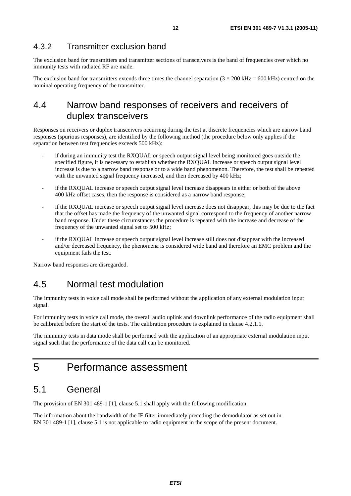#### 4.3.2 Transmitter exclusion band

The exclusion band for transmitters and transmitter sections of transceivers is the band of frequencies over which no immunity tests with radiated RF are made.

The exclusion band for transmitters extends three times the channel separation  $(3 \times 200 \text{ kHz} = 600 \text{ kHz})$  centred on the nominal operating frequency of the transmitter.

### 4.4 Narrow band responses of receivers and receivers of duplex transceivers

Responses on receivers or duplex transceivers occurring during the test at discrete frequencies which are narrow band responses (spurious responses), are identified by the following method (the procedure below only applies if the separation between test frequencies exceeds 500 kHz):

- if during an immunity test the RXOUAL or speech output signal level being monitored goes outside the specified figure, it is necessary to establish whether the RXQUAL increase or speech output signal level increase is due to a narrow band response or to a wide band phenomenon. Therefore, the test shall be repeated with the unwanted signal frequency increased, and then decreased by 400 kHz;
- if the RXQUAL increase or speech output signal level increase disappears in either or both of the above 400 kHz offset cases, then the response is considered as a narrow band response;
- if the RXQUAL increase or speech output signal level increase does not disappear, this may be due to the fact that the offset has made the frequency of the unwanted signal correspond to the frequency of another narrow band response. Under these circumstances the procedure is repeated with the increase and decrease of the frequency of the unwanted signal set to 500 kHz;
- if the RXQUAL increase or speech output signal level increase still does not disappear with the increased and/or decreased frequency, the phenomena is considered wide band and therefore an EMC problem and the equipment fails the test.

Narrow band responses are disregarded.

#### 4.5 Normal test modulation

The immunity tests in voice call mode shall be performed without the application of any external modulation input signal.

For immunity tests in voice call mode, the overall audio uplink and downlink performance of the radio equipment shall be calibrated before the start of the tests. The calibration procedure is explained in clause 4.2.1.1.

The immunity tests in data mode shall be performed with the application of an appropriate external modulation input signal such that the performance of the data call can be monitored.

### 5 Performance assessment

#### 5.1 General

The provision of EN 301 489-1 [1], clause 5.1 shall apply with the following modification.

The information about the bandwidth of the IF filter immediately preceding the demodulator as set out in EN 301 489-1 [1], clause 5.1 is not applicable to radio equipment in the scope of the present document.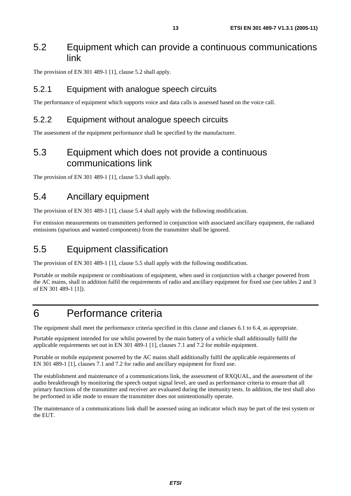#### 5.2 Equipment which can provide a continuous communications link

The provision of EN 301 489-1 [1], clause 5.2 shall apply.

#### 5.2.1 Equipment with analogue speech circuits

The performance of equipment which supports voice and data calls is assessed based on the voice call.

#### 5.2.2 Equipment without analogue speech circuits

The assessment of the equipment performance shall be specified by the manufacturer.

### 5.3 Equipment which does not provide a continuous communications link

The provision of EN 301 489-1 [1], clause 5.3 shall apply.

#### 5.4 Ancillary equipment

The provision of EN 301 489-1 [1], clause 5.4 shall apply with the following modification.

For emission measurements on transmitters performed in conjunction with associated ancillary equipment, the radiated emissions (spurious and wanted components) from the transmitter shall be ignored.

#### 5.5 Equipment classification

The provision of EN 301 489-1 [1], clause 5.5 shall apply with the following modification.

Portable or mobile equipment or combinations of equipment, when used in conjunction with a charger powered from the AC mains, shall in addition fulfil the requirements of radio and ancillary equipment for fixed use (see tables 2 and 3 of EN 301 489-1 [1]).

### 6 Performance criteria

The equipment shall meet the performance criteria specified in this clause and clauses 6.1 to 6.4, as appropriate.

Portable equipment intended for use whilst powered by the main battery of a vehicle shall additionally fulfil the applicable requirements set out in EN 301 489-1 [1], clauses 7.1 and 7.2 for mobile equipment.

Portable or mobile equipment powered by the AC mains shall additionally fulfil the applicable requirements of EN 301 489-1 [1], clauses 7.1 and 7.2 for radio and ancillary equipment for fixed use.

The establishment and maintenance of a communications link, the assessment of RXQUAL, and the assessment of the audio breakthrough by monitoring the speech output signal level, are used as performance criteria to ensure that all primary functions of the transmitter and receiver are evaluated during the immunity tests. In addition, the test shall also be performed in idle mode to ensure the transmitter does not unintentionally operate.

The maintenance of a communications link shall be assessed using an indicator which may be part of the test system or the EUT.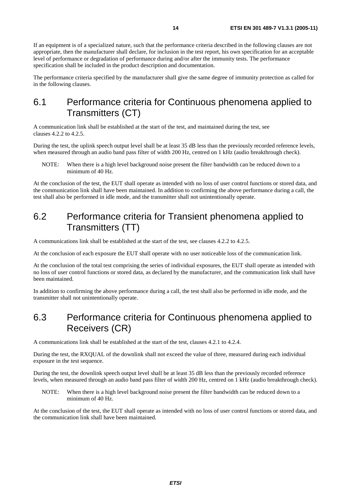If an equipment is of a specialized nature, such that the performance criteria described in the following clauses are not appropriate, then the manufacturer shall declare, for inclusion in the test report, his own specification for an acceptable level of performance or degradation of performance during and/or after the immunity tests. The performance specification shall be included in the product description and documentation.

The performance criteria specified by the manufacturer shall give the same degree of immunity protection as called for in the following clauses.

### 6.1 Performance criteria for Continuous phenomena applied to Transmitters (CT)

A communication link shall be established at the start of the test, and maintained during the test, see clauses 4.2.2 to 4.2.5.

During the test, the uplink speech output level shall be at least 35 dB less than the previously recorded reference levels, when measured through an audio band pass filter of width 200 Hz, centred on 1 kHz (audio breakthrough check).

NOTE: When there is a high level background noise present the filter bandwidth can be reduced down to a minimum of 40 Hz.

At the conclusion of the test, the EUT shall operate as intended with no loss of user control functions or stored data, and the communication link shall have been maintained. In addition to confirming the above performance during a call, the test shall also be performed in idle mode, and the transmitter shall not unintentionally operate.

### 6.2 Performance criteria for Transient phenomena applied to Transmitters (TT)

A communications link shall be established at the start of the test, see clauses 4.2.2 to 4.2.5.

At the conclusion of each exposure the EUT shall operate with no user noticeable loss of the communication link.

At the conclusion of the total test comprising the series of individual exposures, the EUT shall operate as intended with no loss of user control functions or stored data, as declared by the manufacturer, and the communication link shall have been maintained.

In addition to confirming the above performance during a call, the test shall also be performed in idle mode, and the transmitter shall not unintentionally operate.

### 6.3 Performance criteria for Continuous phenomena applied to Receivers (CR)

A communications link shall be established at the start of the test, clauses 4.2.1 to 4.2.4.

During the test, the RXQUAL of the downlink shall not exceed the value of three, measured during each individual exposure in the test sequence.

During the test, the downlink speech output level shall be at least 35 dB less than the previously recorded reference levels, when measured through an audio band pass filter of width 200 Hz, centred on 1 kHz (audio breakthrough check).

NOTE: When there is a high level background noise present the filter bandwidth can be reduced down to a minimum of 40 Hz.

At the conclusion of the test, the EUT shall operate as intended with no loss of user control functions or stored data, and the communication link shall have been maintained.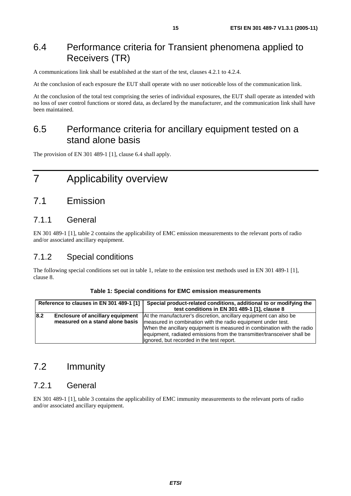### 6.4 Performance criteria for Transient phenomena applied to Receivers (TR)

A communications link shall be established at the start of the test, clauses 4.2.1 to 4.2.4.

At the conclusion of each exposure the EUT shall operate with no user noticeable loss of the communication link.

At the conclusion of the total test comprising the series of individual exposures, the EUT shall operate as intended with no loss of user control functions or stored data, as declared by the manufacturer, and the communication link shall have been maintained.

### 6.5 Performance criteria for ancillary equipment tested on a stand alone basis

The provision of EN 301 489-1 [1], clause 6.4 shall apply.

# 7 Applicability overview

#### 7.1 Emission

#### 7.1.1 General

EN 301 489-1 [1], table 2 contains the applicability of EMC emission measurements to the relevant ports of radio and/or associated ancillary equipment.

#### 7.1.2 Special conditions

The following special conditions set out in table 1, relate to the emission test methods used in EN 301 489-1 [1], clause 8.

|  |  | Table 1: Special conditions for EMC emission measurements |  |
|--|--|-----------------------------------------------------------|--|
|--|--|-----------------------------------------------------------|--|

|     | Reference to clauses in EN 301 489-1 [1]                                   | Special product-related conditions, additional to or modifying the<br>test conditions in EN 301 489-1 [1], clause 8                                                                                                                                                                                                                  |
|-----|----------------------------------------------------------------------------|--------------------------------------------------------------------------------------------------------------------------------------------------------------------------------------------------------------------------------------------------------------------------------------------------------------------------------------|
| 8.2 | <b>Enclosure of ancillary equipment</b><br>measured on a stand alone basis | At the manufacturer's discretion, ancillary equipment can also be<br>measured in combination with the radio equipment under test.<br>When the ancillary equipment is measured in combination with the radio<br>equipment, radiated emissions from the transmitter/transceiver shall be<br>lignored, but recorded in the test report. |

### 7.2 Immunity

#### 7.2.1 General

EN 301 489-1 [1], table 3 contains the applicability of EMC immunity measurements to the relevant ports of radio and/or associated ancillary equipment.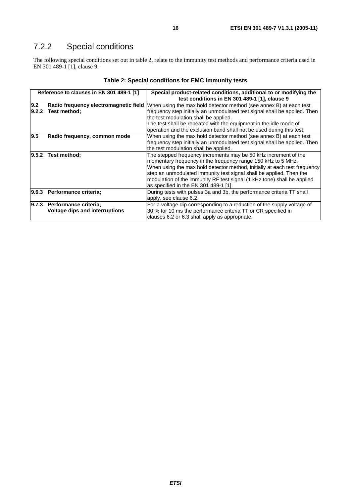### 7.2.2 Special conditions

The following special conditions set out in table 2, relate to the immunity test methods and performance criteria used in EN 301 489-1 [1], clause 9.

| Reference to clauses in EN 301 489-1 [1] |                                                                      | Special product-related conditions, additional to or modifying the<br>test conditions in EN 301 489-1 [1], clause 9                                                                                                                                                                                                                                                                                     |
|------------------------------------------|----------------------------------------------------------------------|---------------------------------------------------------------------------------------------------------------------------------------------------------------------------------------------------------------------------------------------------------------------------------------------------------------------------------------------------------------------------------------------------------|
| 9.2<br>9.2.2                             | Radio frequency electromagnetic field<br>Test method;                | When using the max hold detector method (see annex B) at each test<br>frequency step initially an unmodulated test signal shall be applied. Then<br>the test modulation shall be applied.<br>The test shall be repeated with the equipment in the idle mode of<br>operation and the exclusion band shall not be used during this test.                                                                  |
| 9.5                                      | Radio frequency, common mode                                         | When using the max hold detector method (see annex B) at each test<br>frequency step initially an unmodulated test signal shall be applied. Then<br>the test modulation shall be applied.                                                                                                                                                                                                               |
|                                          | $ 9.5.2$ Test method;                                                | The stepped frequency increments may be 50 kHz increment of the<br>momentary frequency in the frequency range 150 kHz to 5 MHz.<br>When using the max hold detector method, initially at each test frequency<br>step an unmodulated immunity test signal shall be applied. Then the<br>modulation of the immunity RF test signal (1 kHz tone) shall be applied<br>as specified in the EN 301 489-1 [1]. |
|                                          | 9.6.3 Performance criteria:                                          | During tests with pulses 3a and 3b, the performance criteria TT shall<br>apply, see clause 6.2.                                                                                                                                                                                                                                                                                                         |
|                                          | 9.7.3 Performance criteria;<br><b>Voltage dips and interruptions</b> | For a voltage dip corresponding to a reduction of the supply voltage of<br>30 % for 10 ms the performance criteria TT or CR specified in<br>clauses 6.2 or 6.3 shall apply as appropriate.                                                                                                                                                                                                              |

| Table 2: Special conditions for EMC immunity tests |  |  |  |  |  |  |
|----------------------------------------------------|--|--|--|--|--|--|
|----------------------------------------------------|--|--|--|--|--|--|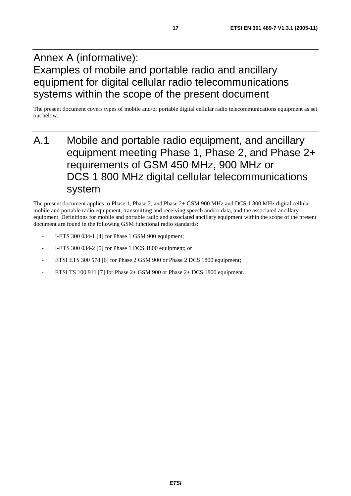# Annex A (informative): Examples of mobile and portable radio and ancillary equipment for digital cellular radio telecommunications systems within the scope of the present document

The present document covers types of mobile and/or portable digital cellular radio telecommunications equipment as set out below.

# A.1 Mobile and portable radio equipment, and ancillary equipment meeting Phase 1, Phase 2, and Phase 2+ requirements of GSM 450 MHz, 900 MHz or DCS 1 800 MHz digital cellular telecommunications system

The present document applies to Phase 1, Phase 2, and Phase 2+ GSM 900 MHz and DCS 1 800 MHz digital cellular mobile and portable radio equipment, transmitting and receiving speech and/or data, and the associated ancillary equipment. Definitions for mobile and portable radio and associated ancillary equipment within the scope of the present document are found in the following GSM functional radio standards:

- I-ETS 300 034-1 [4] for Phase 1 GSM 900 equipment;
- I-ETS 300 034-2 [5] for Phase 1 DCS 1800 equipment; or
- ETSI ETS 300 578 [6] for Phase 2 GSM 900 or Phase 2 DCS 1800 equipment;
- ETSI TS 100 911 [7] for Phase  $2+$  GSM 900 or Phase  $2+$  DCS 1800 equipment.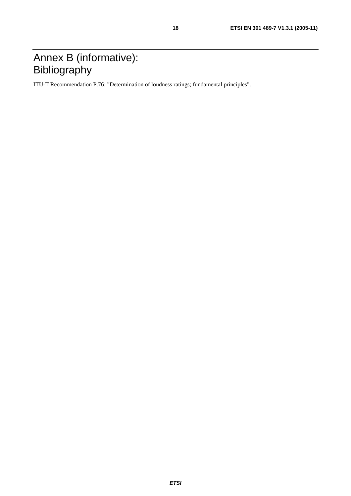# Annex B (informative): Bibliography

ITU-T Recommendation P.76: "Determination of loudness ratings; fundamental principles".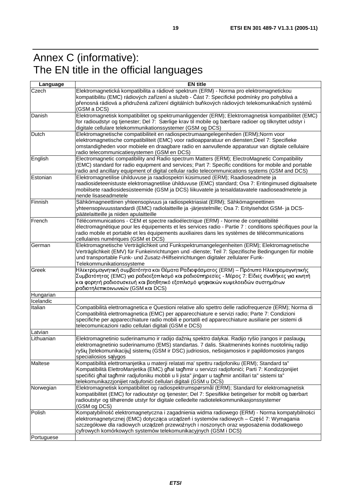# Annex C (informative): The EN title in the official languages

| Elektromagnetická kompatibilita a rádiové spektrum (ERM) - Norma pro elektromagnetickou<br>Czech<br>kompatibilitu (EMC) rádiových zařízení a služeb - Část 7: Specifické podmínky pro pohyblivá a<br>přenosná rádiová a přidružená zařízení digitálních buňkových rádiových telekomunikačních systémů<br>(GSM a DCS)<br>Elektromagnetisk kompatibilitet og spektrumanliggender (ERM); Elektromagnetisk kompatibilitet (EMC)<br>Danish<br>for radioudstyr og tjenester; Del 7: Særlige krav til mobile og bærbare radioer og tilknyttet udstyr i<br>digitale cellulare telekommunikationssystemer (GSM og DCS)<br>Elektromagnetische compatibiliteit en radiospectrumaangelegenheden (ERM);Norm voor<br>Dutch<br>elektromagnetische compatibiliteit (EMC) voor radioapparatuur en diensten;Deel 7: Specifieke<br>omstandigheden voor mobiele en draagbare radio en aanvullende apparatuur van digitale cellulaire<br>radio telecommunicatiesystemen (GSM en DCS)<br>Electromagnetic compatibility and Radio spectrum Matters (ERM); ElectroMagnetic Compatibility<br>(EMC) standard for radio equipment and services; Part 7: Specific conditions for mobile and portable<br>radio and ancillary equipment of digital cellular radio telecommunications systems (GSM and DCS)<br>Elektromagnetilise ühilduvuse ja raadiospektri küsimused (ERM); Raadioseadmete ja<br>Estonian<br>raadiosideteenistuste elektromagnetilise ühilduvuse (EMC) standard; Osa 7: Eritingimused digitaalsete<br>mobiilsete raadiosidesüsteemide (GSM ja DCS) liikuvatele ja teisaldatavatele raadioseadmetele ja<br>nende lisaseadmetele<br>Sähkömagneettinen yhteensopivuus ja radiospektriasiat (ERM); Sähkömagneettinen<br>Finnish<br>yhteensopivuusstandardi (EMC) radiolaitteille ja -järjestelmille; Osa 7: Erityisehdot GSM- ja DCS-<br>päätelaitteille ja niiden apulaitteille<br>Télécommunications - CEM et spectre radioélectrique (ERM) - Norme de compatibilité<br>électromagnétique pour les équipements et les services radio - Partie 7 : conditions spécifiques pour la<br>radio mobile et portable et les équipements auxiliaires dans les systèmes de télécommunications<br>cellulaires numériques (GSM et DCS)<br>Elektromagnetische Verträglichkeit und Funkspektrumangelegenheiten (ERM); Elektromagnetische<br>German<br>Verträglichkeit (EMV) für Funkeinrichtungen und -dienste; Teil 7: Spezifische Bedingungen für mobile<br>und transportable Funk- und Zusatz-/Hilfseinrichtungen digitaler zellularer Funk-<br>Telekommunikationssysteme<br>Ηλεκτρομαγνητική συμβατότητα και Θέματα Ραδιοφάσματος (ERM) – Πρότυπο Ηλεκτρομαγνητικής<br>Greek<br>Συμβατότητας (EMC) για ραδιοεξοπλισμό και ραδιοϋπηρεσίες - Μέρος 7: Είδιες συνθήκες για κινητή<br>και φορητή ραδιοσυσκευή και βοηθητικό εξοπλισμό ψηφιακών κυψελοειδών συστημάτων<br>ραδιοτηλεπικοινωνιών (GSM και DCS)<br>Hungarian<br>Icelandic<br>Italian<br>Compatibilità elettromagnetica e Questioni relative allo spettro delle radiofrequenze (ERM); Norma di<br>Compatibilità elettromagnetica (EMC) per apparecchiature e servizi radio; Parte 7: Condizioni<br>specifiche per apparecchiature radio mobili e portatili ed apparecchiature ausiliarie per sistemi di<br>telecomunicazioni radio cellulari digitali (GSM e DCS)<br>Latvian<br>Elektromagnetinio suderinamumo ir radijo dažnių spektro dalykai. Radijo ryšio įrangos ir paslaugų<br>Lithuanian<br>elektromagnetinio suderinamumo (EMS) standartas. 7 dalis. Skaitmeninės korinės nuotolinių radijo<br>ryšių [telekomunikacijų] sistemų (GSM ir DSC) judriosios, nešiojamosios ir papildomosios įrangos<br>specialiosios salygos<br>Kompatibilità elettromanjetika u materji relatati ma' spettru radjofoniku (ERM); Standard ta"<br>Maltese<br>Kompatibilità ElettroManjetika (EMC) ghal taghmir u servizzi radjofonici; Parti 7: Kondizzjonijiet<br>specifici għal tagħmir radjufoniku mobbli u li jista" jingarr u tagħmir ancillari ta" sistemi ta"<br>telekomunikazzjonijiet radjufonici cellulari digitali (GSM u DCS)<br>Norwegian<br>Elektromagnetisk kompatibilitet og radiospektrumspørsmål (ERM); Standard for elektromagnetisk<br>kompatibilitet (EMC) for radioutstyr og tjenester; Del 7: Spesifikke betingelser for mobilt og bærbart<br>radioutstyr og tilhørende utstyr for digitale celledelte radiotelekommunikasjonssystemer<br>(GSM og DCS)<br>Kompatybilność elektromagnetyczna i zagadnienia widma radiowego (ERM) - Norma kompatybilności<br>Polish<br>elektromagnetycznej (EMC) dotycząca urządzeń i systemów radiowych – Część 7: Wymagania<br>szczegółowe dla radiowych urządzeń przewoźnych i noszonych oraz wyposażenia dodatkowego<br>cyfrowych komórkowych systemów telekomunikacyjnych (GSM i DCS) | Language   | <b>EN title</b> |
|-------------------------------------------------------------------------------------------------------------------------------------------------------------------------------------------------------------------------------------------------------------------------------------------------------------------------------------------------------------------------------------------------------------------------------------------------------------------------------------------------------------------------------------------------------------------------------------------------------------------------------------------------------------------------------------------------------------------------------------------------------------------------------------------------------------------------------------------------------------------------------------------------------------------------------------------------------------------------------------------------------------------------------------------------------------------------------------------------------------------------------------------------------------------------------------------------------------------------------------------------------------------------------------------------------------------------------------------------------------------------------------------------------------------------------------------------------------------------------------------------------------------------------------------------------------------------------------------------------------------------------------------------------------------------------------------------------------------------------------------------------------------------------------------------------------------------------------------------------------------------------------------------------------------------------------------------------------------------------------------------------------------------------------------------------------------------------------------------------------------------------------------------------------------------------------------------------------------------------------------------------------------------------------------------------------------------------------------------------------------------------------------------------------------------------------------------------------------------------------------------------------------------------------------------------------------------------------------------------------------------------------------------------------------------------------------------------------------------------------------------------------------------------------------------------------------------------------------------------------------------------------------------------------------------------------------------------------------------------------------------------------------------------------------------------------------------------------------------------------------------------------------------------------------------------------------------------------------------------------------------------------------------------------------------------------------------------------------------------------------------------------------------------------------------------------------------------------------------------------------------------------------------------------------------------------------------------------------------------------------------------------------------------------------------------------------------------------------------------------------------------------------------------------------------------------------------------------------------------------------------------------------------------------------------------------------------------------------------------------------------------------------------------------------------------------------------------------------------------------------------------------------------------------------------------------------------------------------------------------------------------------------------------------------------------------------------------------------------------------------------------------------------------------------------------------------------------------------------------------------------------------------------------------------------------------------------------------------------------------------------------------------------------------------------------------------------------------------------------------------------------------------|------------|-----------------|
|                                                                                                                                                                                                                                                                                                                                                                                                                                                                                                                                                                                                                                                                                                                                                                                                                                                                                                                                                                                                                                                                                                                                                                                                                                                                                                                                                                                                                                                                                                                                                                                                                                                                                                                                                                                                                                                                                                                                                                                                                                                                                                                                                                                                                                                                                                                                                                                                                                                                                                                                                                                                                                                                                                                                                                                                                                                                                                                                                                                                                                                                                                                                                                                                                                                                                                                                                                                                                                                                                                                                                                                                                                                                                                                                                                                                                                                                                                                                                                                                                                                                                                                                                                                                                                                                                                                                                                                                                                                                                                                                                                                                                                                                                                                                                                   |            |                 |
|                                                                                                                                                                                                                                                                                                                                                                                                                                                                                                                                                                                                                                                                                                                                                                                                                                                                                                                                                                                                                                                                                                                                                                                                                                                                                                                                                                                                                                                                                                                                                                                                                                                                                                                                                                                                                                                                                                                                                                                                                                                                                                                                                                                                                                                                                                                                                                                                                                                                                                                                                                                                                                                                                                                                                                                                                                                                                                                                                                                                                                                                                                                                                                                                                                                                                                                                                                                                                                                                                                                                                                                                                                                                                                                                                                                                                                                                                                                                                                                                                                                                                                                                                                                                                                                                                                                                                                                                                                                                                                                                                                                                                                                                                                                                                                   |            |                 |
|                                                                                                                                                                                                                                                                                                                                                                                                                                                                                                                                                                                                                                                                                                                                                                                                                                                                                                                                                                                                                                                                                                                                                                                                                                                                                                                                                                                                                                                                                                                                                                                                                                                                                                                                                                                                                                                                                                                                                                                                                                                                                                                                                                                                                                                                                                                                                                                                                                                                                                                                                                                                                                                                                                                                                                                                                                                                                                                                                                                                                                                                                                                                                                                                                                                                                                                                                                                                                                                                                                                                                                                                                                                                                                                                                                                                                                                                                                                                                                                                                                                                                                                                                                                                                                                                                                                                                                                                                                                                                                                                                                                                                                                                                                                                                                   |            |                 |
|                                                                                                                                                                                                                                                                                                                                                                                                                                                                                                                                                                                                                                                                                                                                                                                                                                                                                                                                                                                                                                                                                                                                                                                                                                                                                                                                                                                                                                                                                                                                                                                                                                                                                                                                                                                                                                                                                                                                                                                                                                                                                                                                                                                                                                                                                                                                                                                                                                                                                                                                                                                                                                                                                                                                                                                                                                                                                                                                                                                                                                                                                                                                                                                                                                                                                                                                                                                                                                                                                                                                                                                                                                                                                                                                                                                                                                                                                                                                                                                                                                                                                                                                                                                                                                                                                                                                                                                                                                                                                                                                                                                                                                                                                                                                                                   |            |                 |
|                                                                                                                                                                                                                                                                                                                                                                                                                                                                                                                                                                                                                                                                                                                                                                                                                                                                                                                                                                                                                                                                                                                                                                                                                                                                                                                                                                                                                                                                                                                                                                                                                                                                                                                                                                                                                                                                                                                                                                                                                                                                                                                                                                                                                                                                                                                                                                                                                                                                                                                                                                                                                                                                                                                                                                                                                                                                                                                                                                                                                                                                                                                                                                                                                                                                                                                                                                                                                                                                                                                                                                                                                                                                                                                                                                                                                                                                                                                                                                                                                                                                                                                                                                                                                                                                                                                                                                                                                                                                                                                                                                                                                                                                                                                                                                   |            |                 |
|                                                                                                                                                                                                                                                                                                                                                                                                                                                                                                                                                                                                                                                                                                                                                                                                                                                                                                                                                                                                                                                                                                                                                                                                                                                                                                                                                                                                                                                                                                                                                                                                                                                                                                                                                                                                                                                                                                                                                                                                                                                                                                                                                                                                                                                                                                                                                                                                                                                                                                                                                                                                                                                                                                                                                                                                                                                                                                                                                                                                                                                                                                                                                                                                                                                                                                                                                                                                                                                                                                                                                                                                                                                                                                                                                                                                                                                                                                                                                                                                                                                                                                                                                                                                                                                                                                                                                                                                                                                                                                                                                                                                                                                                                                                                                                   |            |                 |
|                                                                                                                                                                                                                                                                                                                                                                                                                                                                                                                                                                                                                                                                                                                                                                                                                                                                                                                                                                                                                                                                                                                                                                                                                                                                                                                                                                                                                                                                                                                                                                                                                                                                                                                                                                                                                                                                                                                                                                                                                                                                                                                                                                                                                                                                                                                                                                                                                                                                                                                                                                                                                                                                                                                                                                                                                                                                                                                                                                                                                                                                                                                                                                                                                                                                                                                                                                                                                                                                                                                                                                                                                                                                                                                                                                                                                                                                                                                                                                                                                                                                                                                                                                                                                                                                                                                                                                                                                                                                                                                                                                                                                                                                                                                                                                   |            |                 |
|                                                                                                                                                                                                                                                                                                                                                                                                                                                                                                                                                                                                                                                                                                                                                                                                                                                                                                                                                                                                                                                                                                                                                                                                                                                                                                                                                                                                                                                                                                                                                                                                                                                                                                                                                                                                                                                                                                                                                                                                                                                                                                                                                                                                                                                                                                                                                                                                                                                                                                                                                                                                                                                                                                                                                                                                                                                                                                                                                                                                                                                                                                                                                                                                                                                                                                                                                                                                                                                                                                                                                                                                                                                                                                                                                                                                                                                                                                                                                                                                                                                                                                                                                                                                                                                                                                                                                                                                                                                                                                                                                                                                                                                                                                                                                                   |            |                 |
|                                                                                                                                                                                                                                                                                                                                                                                                                                                                                                                                                                                                                                                                                                                                                                                                                                                                                                                                                                                                                                                                                                                                                                                                                                                                                                                                                                                                                                                                                                                                                                                                                                                                                                                                                                                                                                                                                                                                                                                                                                                                                                                                                                                                                                                                                                                                                                                                                                                                                                                                                                                                                                                                                                                                                                                                                                                                                                                                                                                                                                                                                                                                                                                                                                                                                                                                                                                                                                                                                                                                                                                                                                                                                                                                                                                                                                                                                                                                                                                                                                                                                                                                                                                                                                                                                                                                                                                                                                                                                                                                                                                                                                                                                                                                                                   |            |                 |
|                                                                                                                                                                                                                                                                                                                                                                                                                                                                                                                                                                                                                                                                                                                                                                                                                                                                                                                                                                                                                                                                                                                                                                                                                                                                                                                                                                                                                                                                                                                                                                                                                                                                                                                                                                                                                                                                                                                                                                                                                                                                                                                                                                                                                                                                                                                                                                                                                                                                                                                                                                                                                                                                                                                                                                                                                                                                                                                                                                                                                                                                                                                                                                                                                                                                                                                                                                                                                                                                                                                                                                                                                                                                                                                                                                                                                                                                                                                                                                                                                                                                                                                                                                                                                                                                                                                                                                                                                                                                                                                                                                                                                                                                                                                                                                   |            |                 |
|                                                                                                                                                                                                                                                                                                                                                                                                                                                                                                                                                                                                                                                                                                                                                                                                                                                                                                                                                                                                                                                                                                                                                                                                                                                                                                                                                                                                                                                                                                                                                                                                                                                                                                                                                                                                                                                                                                                                                                                                                                                                                                                                                                                                                                                                                                                                                                                                                                                                                                                                                                                                                                                                                                                                                                                                                                                                                                                                                                                                                                                                                                                                                                                                                                                                                                                                                                                                                                                                                                                                                                                                                                                                                                                                                                                                                                                                                                                                                                                                                                                                                                                                                                                                                                                                                                                                                                                                                                                                                                                                                                                                                                                                                                                                                                   | English    |                 |
|                                                                                                                                                                                                                                                                                                                                                                                                                                                                                                                                                                                                                                                                                                                                                                                                                                                                                                                                                                                                                                                                                                                                                                                                                                                                                                                                                                                                                                                                                                                                                                                                                                                                                                                                                                                                                                                                                                                                                                                                                                                                                                                                                                                                                                                                                                                                                                                                                                                                                                                                                                                                                                                                                                                                                                                                                                                                                                                                                                                                                                                                                                                                                                                                                                                                                                                                                                                                                                                                                                                                                                                                                                                                                                                                                                                                                                                                                                                                                                                                                                                                                                                                                                                                                                                                                                                                                                                                                                                                                                                                                                                                                                                                                                                                                                   |            |                 |
|                                                                                                                                                                                                                                                                                                                                                                                                                                                                                                                                                                                                                                                                                                                                                                                                                                                                                                                                                                                                                                                                                                                                                                                                                                                                                                                                                                                                                                                                                                                                                                                                                                                                                                                                                                                                                                                                                                                                                                                                                                                                                                                                                                                                                                                                                                                                                                                                                                                                                                                                                                                                                                                                                                                                                                                                                                                                                                                                                                                                                                                                                                                                                                                                                                                                                                                                                                                                                                                                                                                                                                                                                                                                                                                                                                                                                                                                                                                                                                                                                                                                                                                                                                                                                                                                                                                                                                                                                                                                                                                                                                                                                                                                                                                                                                   |            |                 |
|                                                                                                                                                                                                                                                                                                                                                                                                                                                                                                                                                                                                                                                                                                                                                                                                                                                                                                                                                                                                                                                                                                                                                                                                                                                                                                                                                                                                                                                                                                                                                                                                                                                                                                                                                                                                                                                                                                                                                                                                                                                                                                                                                                                                                                                                                                                                                                                                                                                                                                                                                                                                                                                                                                                                                                                                                                                                                                                                                                                                                                                                                                                                                                                                                                                                                                                                                                                                                                                                                                                                                                                                                                                                                                                                                                                                                                                                                                                                                                                                                                                                                                                                                                                                                                                                                                                                                                                                                                                                                                                                                                                                                                                                                                                                                                   |            |                 |
|                                                                                                                                                                                                                                                                                                                                                                                                                                                                                                                                                                                                                                                                                                                                                                                                                                                                                                                                                                                                                                                                                                                                                                                                                                                                                                                                                                                                                                                                                                                                                                                                                                                                                                                                                                                                                                                                                                                                                                                                                                                                                                                                                                                                                                                                                                                                                                                                                                                                                                                                                                                                                                                                                                                                                                                                                                                                                                                                                                                                                                                                                                                                                                                                                                                                                                                                                                                                                                                                                                                                                                                                                                                                                                                                                                                                                                                                                                                                                                                                                                                                                                                                                                                                                                                                                                                                                                                                                                                                                                                                                                                                                                                                                                                                                                   |            |                 |
|                                                                                                                                                                                                                                                                                                                                                                                                                                                                                                                                                                                                                                                                                                                                                                                                                                                                                                                                                                                                                                                                                                                                                                                                                                                                                                                                                                                                                                                                                                                                                                                                                                                                                                                                                                                                                                                                                                                                                                                                                                                                                                                                                                                                                                                                                                                                                                                                                                                                                                                                                                                                                                                                                                                                                                                                                                                                                                                                                                                                                                                                                                                                                                                                                                                                                                                                                                                                                                                                                                                                                                                                                                                                                                                                                                                                                                                                                                                                                                                                                                                                                                                                                                                                                                                                                                                                                                                                                                                                                                                                                                                                                                                                                                                                                                   |            |                 |
|                                                                                                                                                                                                                                                                                                                                                                                                                                                                                                                                                                                                                                                                                                                                                                                                                                                                                                                                                                                                                                                                                                                                                                                                                                                                                                                                                                                                                                                                                                                                                                                                                                                                                                                                                                                                                                                                                                                                                                                                                                                                                                                                                                                                                                                                                                                                                                                                                                                                                                                                                                                                                                                                                                                                                                                                                                                                                                                                                                                                                                                                                                                                                                                                                                                                                                                                                                                                                                                                                                                                                                                                                                                                                                                                                                                                                                                                                                                                                                                                                                                                                                                                                                                                                                                                                                                                                                                                                                                                                                                                                                                                                                                                                                                                                                   |            |                 |
|                                                                                                                                                                                                                                                                                                                                                                                                                                                                                                                                                                                                                                                                                                                                                                                                                                                                                                                                                                                                                                                                                                                                                                                                                                                                                                                                                                                                                                                                                                                                                                                                                                                                                                                                                                                                                                                                                                                                                                                                                                                                                                                                                                                                                                                                                                                                                                                                                                                                                                                                                                                                                                                                                                                                                                                                                                                                                                                                                                                                                                                                                                                                                                                                                                                                                                                                                                                                                                                                                                                                                                                                                                                                                                                                                                                                                                                                                                                                                                                                                                                                                                                                                                                                                                                                                                                                                                                                                                                                                                                                                                                                                                                                                                                                                                   |            |                 |
|                                                                                                                                                                                                                                                                                                                                                                                                                                                                                                                                                                                                                                                                                                                                                                                                                                                                                                                                                                                                                                                                                                                                                                                                                                                                                                                                                                                                                                                                                                                                                                                                                                                                                                                                                                                                                                                                                                                                                                                                                                                                                                                                                                                                                                                                                                                                                                                                                                                                                                                                                                                                                                                                                                                                                                                                                                                                                                                                                                                                                                                                                                                                                                                                                                                                                                                                                                                                                                                                                                                                                                                                                                                                                                                                                                                                                                                                                                                                                                                                                                                                                                                                                                                                                                                                                                                                                                                                                                                                                                                                                                                                                                                                                                                                                                   |            |                 |
|                                                                                                                                                                                                                                                                                                                                                                                                                                                                                                                                                                                                                                                                                                                                                                                                                                                                                                                                                                                                                                                                                                                                                                                                                                                                                                                                                                                                                                                                                                                                                                                                                                                                                                                                                                                                                                                                                                                                                                                                                                                                                                                                                                                                                                                                                                                                                                                                                                                                                                                                                                                                                                                                                                                                                                                                                                                                                                                                                                                                                                                                                                                                                                                                                                                                                                                                                                                                                                                                                                                                                                                                                                                                                                                                                                                                                                                                                                                                                                                                                                                                                                                                                                                                                                                                                                                                                                                                                                                                                                                                                                                                                                                                                                                                                                   | French     |                 |
|                                                                                                                                                                                                                                                                                                                                                                                                                                                                                                                                                                                                                                                                                                                                                                                                                                                                                                                                                                                                                                                                                                                                                                                                                                                                                                                                                                                                                                                                                                                                                                                                                                                                                                                                                                                                                                                                                                                                                                                                                                                                                                                                                                                                                                                                                                                                                                                                                                                                                                                                                                                                                                                                                                                                                                                                                                                                                                                                                                                                                                                                                                                                                                                                                                                                                                                                                                                                                                                                                                                                                                                                                                                                                                                                                                                                                                                                                                                                                                                                                                                                                                                                                                                                                                                                                                                                                                                                                                                                                                                                                                                                                                                                                                                                                                   |            |                 |
|                                                                                                                                                                                                                                                                                                                                                                                                                                                                                                                                                                                                                                                                                                                                                                                                                                                                                                                                                                                                                                                                                                                                                                                                                                                                                                                                                                                                                                                                                                                                                                                                                                                                                                                                                                                                                                                                                                                                                                                                                                                                                                                                                                                                                                                                                                                                                                                                                                                                                                                                                                                                                                                                                                                                                                                                                                                                                                                                                                                                                                                                                                                                                                                                                                                                                                                                                                                                                                                                                                                                                                                                                                                                                                                                                                                                                                                                                                                                                                                                                                                                                                                                                                                                                                                                                                                                                                                                                                                                                                                                                                                                                                                                                                                                                                   |            |                 |
|                                                                                                                                                                                                                                                                                                                                                                                                                                                                                                                                                                                                                                                                                                                                                                                                                                                                                                                                                                                                                                                                                                                                                                                                                                                                                                                                                                                                                                                                                                                                                                                                                                                                                                                                                                                                                                                                                                                                                                                                                                                                                                                                                                                                                                                                                                                                                                                                                                                                                                                                                                                                                                                                                                                                                                                                                                                                                                                                                                                                                                                                                                                                                                                                                                                                                                                                                                                                                                                                                                                                                                                                                                                                                                                                                                                                                                                                                                                                                                                                                                                                                                                                                                                                                                                                                                                                                                                                                                                                                                                                                                                                                                                                                                                                                                   |            |                 |
|                                                                                                                                                                                                                                                                                                                                                                                                                                                                                                                                                                                                                                                                                                                                                                                                                                                                                                                                                                                                                                                                                                                                                                                                                                                                                                                                                                                                                                                                                                                                                                                                                                                                                                                                                                                                                                                                                                                                                                                                                                                                                                                                                                                                                                                                                                                                                                                                                                                                                                                                                                                                                                                                                                                                                                                                                                                                                                                                                                                                                                                                                                                                                                                                                                                                                                                                                                                                                                                                                                                                                                                                                                                                                                                                                                                                                                                                                                                                                                                                                                                                                                                                                                                                                                                                                                                                                                                                                                                                                                                                                                                                                                                                                                                                                                   |            |                 |
|                                                                                                                                                                                                                                                                                                                                                                                                                                                                                                                                                                                                                                                                                                                                                                                                                                                                                                                                                                                                                                                                                                                                                                                                                                                                                                                                                                                                                                                                                                                                                                                                                                                                                                                                                                                                                                                                                                                                                                                                                                                                                                                                                                                                                                                                                                                                                                                                                                                                                                                                                                                                                                                                                                                                                                                                                                                                                                                                                                                                                                                                                                                                                                                                                                                                                                                                                                                                                                                                                                                                                                                                                                                                                                                                                                                                                                                                                                                                                                                                                                                                                                                                                                                                                                                                                                                                                                                                                                                                                                                                                                                                                                                                                                                                                                   |            |                 |
|                                                                                                                                                                                                                                                                                                                                                                                                                                                                                                                                                                                                                                                                                                                                                                                                                                                                                                                                                                                                                                                                                                                                                                                                                                                                                                                                                                                                                                                                                                                                                                                                                                                                                                                                                                                                                                                                                                                                                                                                                                                                                                                                                                                                                                                                                                                                                                                                                                                                                                                                                                                                                                                                                                                                                                                                                                                                                                                                                                                                                                                                                                                                                                                                                                                                                                                                                                                                                                                                                                                                                                                                                                                                                                                                                                                                                                                                                                                                                                                                                                                                                                                                                                                                                                                                                                                                                                                                                                                                                                                                                                                                                                                                                                                                                                   |            |                 |
|                                                                                                                                                                                                                                                                                                                                                                                                                                                                                                                                                                                                                                                                                                                                                                                                                                                                                                                                                                                                                                                                                                                                                                                                                                                                                                                                                                                                                                                                                                                                                                                                                                                                                                                                                                                                                                                                                                                                                                                                                                                                                                                                                                                                                                                                                                                                                                                                                                                                                                                                                                                                                                                                                                                                                                                                                                                                                                                                                                                                                                                                                                                                                                                                                                                                                                                                                                                                                                                                                                                                                                                                                                                                                                                                                                                                                                                                                                                                                                                                                                                                                                                                                                                                                                                                                                                                                                                                                                                                                                                                                                                                                                                                                                                                                                   |            |                 |
|                                                                                                                                                                                                                                                                                                                                                                                                                                                                                                                                                                                                                                                                                                                                                                                                                                                                                                                                                                                                                                                                                                                                                                                                                                                                                                                                                                                                                                                                                                                                                                                                                                                                                                                                                                                                                                                                                                                                                                                                                                                                                                                                                                                                                                                                                                                                                                                                                                                                                                                                                                                                                                                                                                                                                                                                                                                                                                                                                                                                                                                                                                                                                                                                                                                                                                                                                                                                                                                                                                                                                                                                                                                                                                                                                                                                                                                                                                                                                                                                                                                                                                                                                                                                                                                                                                                                                                                                                                                                                                                                                                                                                                                                                                                                                                   |            |                 |
|                                                                                                                                                                                                                                                                                                                                                                                                                                                                                                                                                                                                                                                                                                                                                                                                                                                                                                                                                                                                                                                                                                                                                                                                                                                                                                                                                                                                                                                                                                                                                                                                                                                                                                                                                                                                                                                                                                                                                                                                                                                                                                                                                                                                                                                                                                                                                                                                                                                                                                                                                                                                                                                                                                                                                                                                                                                                                                                                                                                                                                                                                                                                                                                                                                                                                                                                                                                                                                                                                                                                                                                                                                                                                                                                                                                                                                                                                                                                                                                                                                                                                                                                                                                                                                                                                                                                                                                                                                                                                                                                                                                                                                                                                                                                                                   |            |                 |
|                                                                                                                                                                                                                                                                                                                                                                                                                                                                                                                                                                                                                                                                                                                                                                                                                                                                                                                                                                                                                                                                                                                                                                                                                                                                                                                                                                                                                                                                                                                                                                                                                                                                                                                                                                                                                                                                                                                                                                                                                                                                                                                                                                                                                                                                                                                                                                                                                                                                                                                                                                                                                                                                                                                                                                                                                                                                                                                                                                                                                                                                                                                                                                                                                                                                                                                                                                                                                                                                                                                                                                                                                                                                                                                                                                                                                                                                                                                                                                                                                                                                                                                                                                                                                                                                                                                                                                                                                                                                                                                                                                                                                                                                                                                                                                   |            |                 |
|                                                                                                                                                                                                                                                                                                                                                                                                                                                                                                                                                                                                                                                                                                                                                                                                                                                                                                                                                                                                                                                                                                                                                                                                                                                                                                                                                                                                                                                                                                                                                                                                                                                                                                                                                                                                                                                                                                                                                                                                                                                                                                                                                                                                                                                                                                                                                                                                                                                                                                                                                                                                                                                                                                                                                                                                                                                                                                                                                                                                                                                                                                                                                                                                                                                                                                                                                                                                                                                                                                                                                                                                                                                                                                                                                                                                                                                                                                                                                                                                                                                                                                                                                                                                                                                                                                                                                                                                                                                                                                                                                                                                                                                                                                                                                                   |            |                 |
|                                                                                                                                                                                                                                                                                                                                                                                                                                                                                                                                                                                                                                                                                                                                                                                                                                                                                                                                                                                                                                                                                                                                                                                                                                                                                                                                                                                                                                                                                                                                                                                                                                                                                                                                                                                                                                                                                                                                                                                                                                                                                                                                                                                                                                                                                                                                                                                                                                                                                                                                                                                                                                                                                                                                                                                                                                                                                                                                                                                                                                                                                                                                                                                                                                                                                                                                                                                                                                                                                                                                                                                                                                                                                                                                                                                                                                                                                                                                                                                                                                                                                                                                                                                                                                                                                                                                                                                                                                                                                                                                                                                                                                                                                                                                                                   |            |                 |
|                                                                                                                                                                                                                                                                                                                                                                                                                                                                                                                                                                                                                                                                                                                                                                                                                                                                                                                                                                                                                                                                                                                                                                                                                                                                                                                                                                                                                                                                                                                                                                                                                                                                                                                                                                                                                                                                                                                                                                                                                                                                                                                                                                                                                                                                                                                                                                                                                                                                                                                                                                                                                                                                                                                                                                                                                                                                                                                                                                                                                                                                                                                                                                                                                                                                                                                                                                                                                                                                                                                                                                                                                                                                                                                                                                                                                                                                                                                                                                                                                                                                                                                                                                                                                                                                                                                                                                                                                                                                                                                                                                                                                                                                                                                                                                   |            |                 |
|                                                                                                                                                                                                                                                                                                                                                                                                                                                                                                                                                                                                                                                                                                                                                                                                                                                                                                                                                                                                                                                                                                                                                                                                                                                                                                                                                                                                                                                                                                                                                                                                                                                                                                                                                                                                                                                                                                                                                                                                                                                                                                                                                                                                                                                                                                                                                                                                                                                                                                                                                                                                                                                                                                                                                                                                                                                                                                                                                                                                                                                                                                                                                                                                                                                                                                                                                                                                                                                                                                                                                                                                                                                                                                                                                                                                                                                                                                                                                                                                                                                                                                                                                                                                                                                                                                                                                                                                                                                                                                                                                                                                                                                                                                                                                                   |            |                 |
|                                                                                                                                                                                                                                                                                                                                                                                                                                                                                                                                                                                                                                                                                                                                                                                                                                                                                                                                                                                                                                                                                                                                                                                                                                                                                                                                                                                                                                                                                                                                                                                                                                                                                                                                                                                                                                                                                                                                                                                                                                                                                                                                                                                                                                                                                                                                                                                                                                                                                                                                                                                                                                                                                                                                                                                                                                                                                                                                                                                                                                                                                                                                                                                                                                                                                                                                                                                                                                                                                                                                                                                                                                                                                                                                                                                                                                                                                                                                                                                                                                                                                                                                                                                                                                                                                                                                                                                                                                                                                                                                                                                                                                                                                                                                                                   |            |                 |
|                                                                                                                                                                                                                                                                                                                                                                                                                                                                                                                                                                                                                                                                                                                                                                                                                                                                                                                                                                                                                                                                                                                                                                                                                                                                                                                                                                                                                                                                                                                                                                                                                                                                                                                                                                                                                                                                                                                                                                                                                                                                                                                                                                                                                                                                                                                                                                                                                                                                                                                                                                                                                                                                                                                                                                                                                                                                                                                                                                                                                                                                                                                                                                                                                                                                                                                                                                                                                                                                                                                                                                                                                                                                                                                                                                                                                                                                                                                                                                                                                                                                                                                                                                                                                                                                                                                                                                                                                                                                                                                                                                                                                                                                                                                                                                   |            |                 |
|                                                                                                                                                                                                                                                                                                                                                                                                                                                                                                                                                                                                                                                                                                                                                                                                                                                                                                                                                                                                                                                                                                                                                                                                                                                                                                                                                                                                                                                                                                                                                                                                                                                                                                                                                                                                                                                                                                                                                                                                                                                                                                                                                                                                                                                                                                                                                                                                                                                                                                                                                                                                                                                                                                                                                                                                                                                                                                                                                                                                                                                                                                                                                                                                                                                                                                                                                                                                                                                                                                                                                                                                                                                                                                                                                                                                                                                                                                                                                                                                                                                                                                                                                                                                                                                                                                                                                                                                                                                                                                                                                                                                                                                                                                                                                                   |            |                 |
|                                                                                                                                                                                                                                                                                                                                                                                                                                                                                                                                                                                                                                                                                                                                                                                                                                                                                                                                                                                                                                                                                                                                                                                                                                                                                                                                                                                                                                                                                                                                                                                                                                                                                                                                                                                                                                                                                                                                                                                                                                                                                                                                                                                                                                                                                                                                                                                                                                                                                                                                                                                                                                                                                                                                                                                                                                                                                                                                                                                                                                                                                                                                                                                                                                                                                                                                                                                                                                                                                                                                                                                                                                                                                                                                                                                                                                                                                                                                                                                                                                                                                                                                                                                                                                                                                                                                                                                                                                                                                                                                                                                                                                                                                                                                                                   |            |                 |
|                                                                                                                                                                                                                                                                                                                                                                                                                                                                                                                                                                                                                                                                                                                                                                                                                                                                                                                                                                                                                                                                                                                                                                                                                                                                                                                                                                                                                                                                                                                                                                                                                                                                                                                                                                                                                                                                                                                                                                                                                                                                                                                                                                                                                                                                                                                                                                                                                                                                                                                                                                                                                                                                                                                                                                                                                                                                                                                                                                                                                                                                                                                                                                                                                                                                                                                                                                                                                                                                                                                                                                                                                                                                                                                                                                                                                                                                                                                                                                                                                                                                                                                                                                                                                                                                                                                                                                                                                                                                                                                                                                                                                                                                                                                                                                   |            |                 |
|                                                                                                                                                                                                                                                                                                                                                                                                                                                                                                                                                                                                                                                                                                                                                                                                                                                                                                                                                                                                                                                                                                                                                                                                                                                                                                                                                                                                                                                                                                                                                                                                                                                                                                                                                                                                                                                                                                                                                                                                                                                                                                                                                                                                                                                                                                                                                                                                                                                                                                                                                                                                                                                                                                                                                                                                                                                                                                                                                                                                                                                                                                                                                                                                                                                                                                                                                                                                                                                                                                                                                                                                                                                                                                                                                                                                                                                                                                                                                                                                                                                                                                                                                                                                                                                                                                                                                                                                                                                                                                                                                                                                                                                                                                                                                                   |            |                 |
|                                                                                                                                                                                                                                                                                                                                                                                                                                                                                                                                                                                                                                                                                                                                                                                                                                                                                                                                                                                                                                                                                                                                                                                                                                                                                                                                                                                                                                                                                                                                                                                                                                                                                                                                                                                                                                                                                                                                                                                                                                                                                                                                                                                                                                                                                                                                                                                                                                                                                                                                                                                                                                                                                                                                                                                                                                                                                                                                                                                                                                                                                                                                                                                                                                                                                                                                                                                                                                                                                                                                                                                                                                                                                                                                                                                                                                                                                                                                                                                                                                                                                                                                                                                                                                                                                                                                                                                                                                                                                                                                                                                                                                                                                                                                                                   |            |                 |
|                                                                                                                                                                                                                                                                                                                                                                                                                                                                                                                                                                                                                                                                                                                                                                                                                                                                                                                                                                                                                                                                                                                                                                                                                                                                                                                                                                                                                                                                                                                                                                                                                                                                                                                                                                                                                                                                                                                                                                                                                                                                                                                                                                                                                                                                                                                                                                                                                                                                                                                                                                                                                                                                                                                                                                                                                                                                                                                                                                                                                                                                                                                                                                                                                                                                                                                                                                                                                                                                                                                                                                                                                                                                                                                                                                                                                                                                                                                                                                                                                                                                                                                                                                                                                                                                                                                                                                                                                                                                                                                                                                                                                                                                                                                                                                   |            |                 |
|                                                                                                                                                                                                                                                                                                                                                                                                                                                                                                                                                                                                                                                                                                                                                                                                                                                                                                                                                                                                                                                                                                                                                                                                                                                                                                                                                                                                                                                                                                                                                                                                                                                                                                                                                                                                                                                                                                                                                                                                                                                                                                                                                                                                                                                                                                                                                                                                                                                                                                                                                                                                                                                                                                                                                                                                                                                                                                                                                                                                                                                                                                                                                                                                                                                                                                                                                                                                                                                                                                                                                                                                                                                                                                                                                                                                                                                                                                                                                                                                                                                                                                                                                                                                                                                                                                                                                                                                                                                                                                                                                                                                                                                                                                                                                                   |            |                 |
|                                                                                                                                                                                                                                                                                                                                                                                                                                                                                                                                                                                                                                                                                                                                                                                                                                                                                                                                                                                                                                                                                                                                                                                                                                                                                                                                                                                                                                                                                                                                                                                                                                                                                                                                                                                                                                                                                                                                                                                                                                                                                                                                                                                                                                                                                                                                                                                                                                                                                                                                                                                                                                                                                                                                                                                                                                                                                                                                                                                                                                                                                                                                                                                                                                                                                                                                                                                                                                                                                                                                                                                                                                                                                                                                                                                                                                                                                                                                                                                                                                                                                                                                                                                                                                                                                                                                                                                                                                                                                                                                                                                                                                                                                                                                                                   |            |                 |
|                                                                                                                                                                                                                                                                                                                                                                                                                                                                                                                                                                                                                                                                                                                                                                                                                                                                                                                                                                                                                                                                                                                                                                                                                                                                                                                                                                                                                                                                                                                                                                                                                                                                                                                                                                                                                                                                                                                                                                                                                                                                                                                                                                                                                                                                                                                                                                                                                                                                                                                                                                                                                                                                                                                                                                                                                                                                                                                                                                                                                                                                                                                                                                                                                                                                                                                                                                                                                                                                                                                                                                                                                                                                                                                                                                                                                                                                                                                                                                                                                                                                                                                                                                                                                                                                                                                                                                                                                                                                                                                                                                                                                                                                                                                                                                   |            |                 |
|                                                                                                                                                                                                                                                                                                                                                                                                                                                                                                                                                                                                                                                                                                                                                                                                                                                                                                                                                                                                                                                                                                                                                                                                                                                                                                                                                                                                                                                                                                                                                                                                                                                                                                                                                                                                                                                                                                                                                                                                                                                                                                                                                                                                                                                                                                                                                                                                                                                                                                                                                                                                                                                                                                                                                                                                                                                                                                                                                                                                                                                                                                                                                                                                                                                                                                                                                                                                                                                                                                                                                                                                                                                                                                                                                                                                                                                                                                                                                                                                                                                                                                                                                                                                                                                                                                                                                                                                                                                                                                                                                                                                                                                                                                                                                                   |            |                 |
|                                                                                                                                                                                                                                                                                                                                                                                                                                                                                                                                                                                                                                                                                                                                                                                                                                                                                                                                                                                                                                                                                                                                                                                                                                                                                                                                                                                                                                                                                                                                                                                                                                                                                                                                                                                                                                                                                                                                                                                                                                                                                                                                                                                                                                                                                                                                                                                                                                                                                                                                                                                                                                                                                                                                                                                                                                                                                                                                                                                                                                                                                                                                                                                                                                                                                                                                                                                                                                                                                                                                                                                                                                                                                                                                                                                                                                                                                                                                                                                                                                                                                                                                                                                                                                                                                                                                                                                                                                                                                                                                                                                                                                                                                                                                                                   |            |                 |
|                                                                                                                                                                                                                                                                                                                                                                                                                                                                                                                                                                                                                                                                                                                                                                                                                                                                                                                                                                                                                                                                                                                                                                                                                                                                                                                                                                                                                                                                                                                                                                                                                                                                                                                                                                                                                                                                                                                                                                                                                                                                                                                                                                                                                                                                                                                                                                                                                                                                                                                                                                                                                                                                                                                                                                                                                                                                                                                                                                                                                                                                                                                                                                                                                                                                                                                                                                                                                                                                                                                                                                                                                                                                                                                                                                                                                                                                                                                                                                                                                                                                                                                                                                                                                                                                                                                                                                                                                                                                                                                                                                                                                                                                                                                                                                   |            |                 |
|                                                                                                                                                                                                                                                                                                                                                                                                                                                                                                                                                                                                                                                                                                                                                                                                                                                                                                                                                                                                                                                                                                                                                                                                                                                                                                                                                                                                                                                                                                                                                                                                                                                                                                                                                                                                                                                                                                                                                                                                                                                                                                                                                                                                                                                                                                                                                                                                                                                                                                                                                                                                                                                                                                                                                                                                                                                                                                                                                                                                                                                                                                                                                                                                                                                                                                                                                                                                                                                                                                                                                                                                                                                                                                                                                                                                                                                                                                                                                                                                                                                                                                                                                                                                                                                                                                                                                                                                                                                                                                                                                                                                                                                                                                                                                                   |            |                 |
|                                                                                                                                                                                                                                                                                                                                                                                                                                                                                                                                                                                                                                                                                                                                                                                                                                                                                                                                                                                                                                                                                                                                                                                                                                                                                                                                                                                                                                                                                                                                                                                                                                                                                                                                                                                                                                                                                                                                                                                                                                                                                                                                                                                                                                                                                                                                                                                                                                                                                                                                                                                                                                                                                                                                                                                                                                                                                                                                                                                                                                                                                                                                                                                                                                                                                                                                                                                                                                                                                                                                                                                                                                                                                                                                                                                                                                                                                                                                                                                                                                                                                                                                                                                                                                                                                                                                                                                                                                                                                                                                                                                                                                                                                                                                                                   |            |                 |
|                                                                                                                                                                                                                                                                                                                                                                                                                                                                                                                                                                                                                                                                                                                                                                                                                                                                                                                                                                                                                                                                                                                                                                                                                                                                                                                                                                                                                                                                                                                                                                                                                                                                                                                                                                                                                                                                                                                                                                                                                                                                                                                                                                                                                                                                                                                                                                                                                                                                                                                                                                                                                                                                                                                                                                                                                                                                                                                                                                                                                                                                                                                                                                                                                                                                                                                                                                                                                                                                                                                                                                                                                                                                                                                                                                                                                                                                                                                                                                                                                                                                                                                                                                                                                                                                                                                                                                                                                                                                                                                                                                                                                                                                                                                                                                   | Portuguese |                 |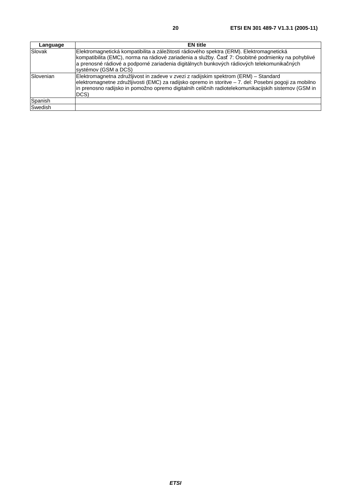| Language  | <b>EN</b> title                                                                                                                                                                                                                                                                                                      |
|-----------|----------------------------------------------------------------------------------------------------------------------------------------------------------------------------------------------------------------------------------------------------------------------------------------------------------------------|
| Slovak    | Elektromagnetická kompatibilita a záležitosti rádiového spektra (ERM). Elektromagnetická<br>kompatibilita (EMC), norma na rádiové zariadenia a služby. Časť 7: Osobitné podmienky na pohyblivé<br>a prenosné rádiové a podporné zariadenia digitálnych bunkových rádiových telekomunikačných<br>systémov (GSM a DCS) |
| Slovenian | Elektromagnetna združljivost in zadeve v zvezi z radijskim spektrom (ERM) - Standard<br>elektromagnetne združljivosti (EMC) za radijsko opremo in storitve - 7. del: Posebni pogoji za mobilno<br>in prenosno radijsko in pomožno opremo digitalnih celičnih radiotelekomunikacijskih sistemov (GSM in<br>DCS)       |
| Spanish   |                                                                                                                                                                                                                                                                                                                      |
| Swedish   |                                                                                                                                                                                                                                                                                                                      |

**ETSI**